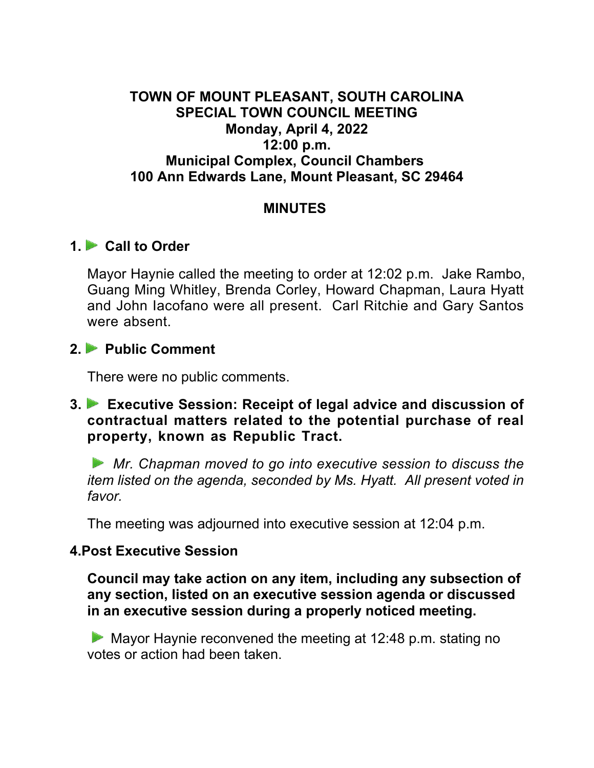#### **TOWN OF MOUNT PLEASANT, SOUTH CAROLINA SPECIAL TOWN COUNCIL MEETING Monday, April 4, 2022 12:00 p.m. Municipal Complex, Council Chambers 100 Ann Edwards Lane, Mount Pleasant, SC 29464**

#### **MINUTES**

## **1. Call to Order**

Mayor Haynie called the meeting to order at 12:02 p.m. Jake Rambo, Guang Ming Whitley, Brenda Corley, Howard Chapman, Laura Hyatt and John Iacofano were all present. Carl Ritchie and Gary Santos were absent.

## **2. Public Comment**

There were no public comments.

#### **3. Executive Session: Receipt of legal advice and discussion of contractual matters related to the potential purchase of real property, known as Republic Tract.**

*Mr. Chapman moved to go into executive session to discuss the item listed on the agenda, seconded by Ms. Hyatt. All present voted in favor.*

The meeting was adjourned into executive session at 12:04 p.m.

## **4.Post Executive Session**

**Council may take action on any item, including any subsection of any section, listed on an executive session agenda or discussed in an executive session during a properly noticed meeting.**

Mayor Haynie reconvened the meeting at 12:48 p.m. stating no votes or action had been taken.